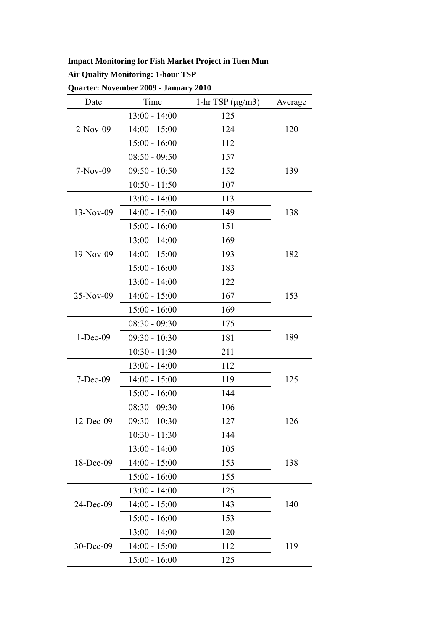## **Impact Monitoring for Fish Market Project in Tuen Mun**

## **Air Quality Monitoring: 1-hour TSP**

| Date         | Time            | 1-hr TSP $(\mu g/m3)$ | Average |
|--------------|-----------------|-----------------------|---------|
| $2-Nov-09$   | $13:00 - 14:00$ | 125                   |         |
|              | $14:00 - 15:00$ | 124                   | 120     |
|              | $15:00 - 16:00$ | 112                   |         |
| $7-Nov-09$   | $08:50 - 09:50$ | 157                   | 139     |
|              | $09:50 - 10:50$ | 152                   |         |
|              | $10:50 - 11:50$ | 107                   |         |
|              | $13:00 - 14:00$ | 113                   | 138     |
| $13-Nov-09$  | $14:00 - 15:00$ | 149                   |         |
|              | $15:00 - 16:00$ | 151                   |         |
|              | $13:00 - 14:00$ | 169                   | 182     |
| $19-Nov-09$  | $14:00 - 15:00$ | 193                   |         |
|              | $15:00 - 16:00$ | 183                   |         |
|              | $13:00 - 14:00$ | 122                   | 153     |
| 25-Nov-09    | $14:00 - 15:00$ | 167                   |         |
|              | $15:00 - 16:00$ | 169                   |         |
|              | $08:30 - 09:30$ | 175                   | 189     |
| $1 - Dec-09$ | $09:30 - 10:30$ | 181                   |         |
|              | $10:30 - 11:30$ | 211                   |         |
|              | $13:00 - 14:00$ | 112                   | 125     |
| $7 - Dec-09$ | $14:00 - 15:00$ | 119                   |         |
|              | $15:00 - 16:00$ | 144                   |         |
| 12-Dec-09    | $08:30 - 09:30$ | 106                   | 126     |
|              | $09:30 - 10:30$ | 127                   |         |
|              | 10:30 - 11:30   | 144                   |         |
| 18-Dec-09    | $13:00 - 14:00$ | 105                   | 138     |
|              | $14:00 - 15:00$ | 153                   |         |
|              | $15:00 - 16:00$ | 155                   |         |
| 24-Dec-09    | $13:00 - 14:00$ | 125                   | 140     |
|              | $14:00 - 15:00$ | 143                   |         |
|              | $15:00 - 16:00$ | 153                   |         |
| 30-Dec-09    | $13:00 - 14:00$ | 120                   | 119     |
|              | $14:00 - 15:00$ | 112                   |         |
|              | $15:00 - 16:00$ | 125                   |         |

# **Quarter: November 2009 - January 2010**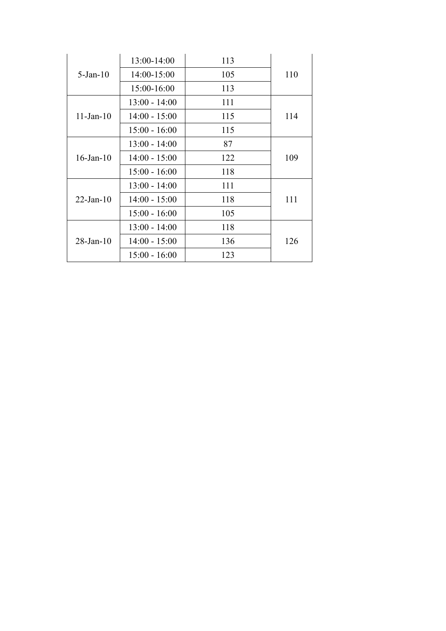| $5-Jan-10$      | 13:00-14:00     | 113 | 110 |
|-----------------|-----------------|-----|-----|
|                 | 14:00-15:00     | 105 |     |
|                 | 15:00-16:00     | 113 |     |
| $11$ -Jan- $10$ | $13:00 - 14:00$ | 111 | 114 |
|                 | $14:00 - 15:00$ | 115 |     |
|                 | $15:00 - 16:00$ | 115 |     |
| $16$ -Jan- $10$ | $13:00 - 14:00$ | 87  |     |
|                 | $14:00 - 15:00$ | 122 | 109 |
|                 | $15:00 - 16:00$ | 118 |     |
| $22$ -Jan-10    | $13:00 - 14:00$ | 111 |     |
|                 | $14:00 - 15:00$ | 118 | 111 |
|                 | $15:00 - 16:00$ | 105 |     |
| $28$ -Jan- $10$ | $13:00 - 14:00$ | 118 |     |
|                 | $14:00 - 15:00$ | 136 | 126 |
|                 | $15:00 - 16:00$ | 123 |     |